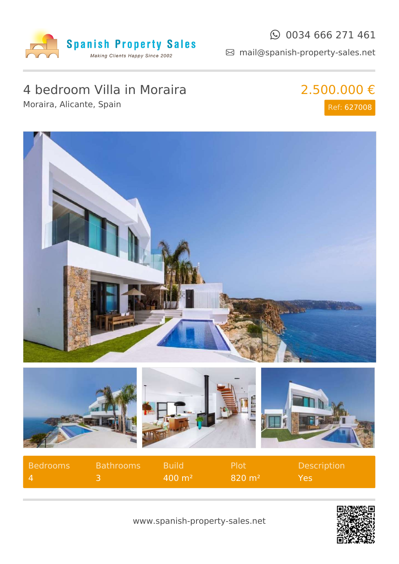

### $\odot$  0034 666 271 461

mail@spanish-property-sales.net

## 4 bedroom Villa in Moraira

Moraira, Alicante, Spain

2.500.000 € Ref: 627008





| <b>Bedrooms</b> | <b>Bathrooms</b> | <b>Build</b>          | <b>Plot</b>       | <b>Description</b> |
|-----------------|------------------|-----------------------|-------------------|--------------------|
| $\mathbf{A}$    |                  | $400 \; \mathrm{m}^2$ | $820 \text{ m}^2$ | Yes.               |



www.spanish-property-sales.net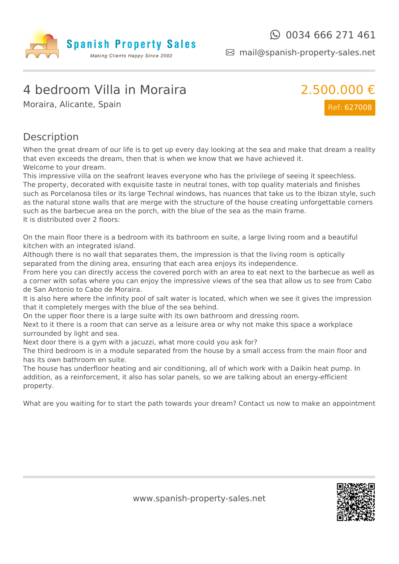

mail@spanish-property-sales.net

## 4 bedroom Villa in Moraira

Moraira, Alicante, Spain



#### Description

When the great dream of our life is to get up every day looking at the sea and make that dream a reality that even exceeds the dream, then that is when we know that we have achieved it. Welcome to your dream.

This impressive villa on the seafront leaves everyone who has the privilege of seeing it speechless. The property, decorated with exquisite taste in neutral tones, with top quality materials and finishes such as Porcelanosa tiles or its large Technal windows, has nuances that take us to the Ibizan style, such as the natural stone walls that are merge with the structure of the house creating unforgettable corners such as the barbecue area on the porch, with the blue of the sea as the main frame. It is distributed over 2 floors:

On the main floor there is a bedroom with its bathroom en suite, a large living room and a beautiful kitchen with an integrated island.

Although there is no wall that separates them, the impression is that the living room is optically separated from the dining area, ensuring that each area enjoys its independence.

From here you can directly access the covered porch with an area to eat next to the barbecue as well as a corner with sofas where you can enjoy the impressive views of the sea that allow us to see from Cabo de San Antonio to Cabo de Moraira.

It is also here where the infinity pool of salt water is located, which when we see it gives the impression that it completely merges with the blue of the sea behind.

On the upper floor there is a large suite with its own bathroom and dressing room.

Next to it there is a room that can serve as a leisure area or why not make this space a workplace surrounded by light and sea.

Next door there is a gym with a jacuzzi, what more could you ask for?

The third bedroom is in a module separated from the house by a small access from the main floor and has its own bathroom en suite.

The house has underfloor heating and air conditioning, all of which work with a Daikin heat pump. In addition, as a reinforcement, it also has solar panels, so we are talking about an energy-efficient property.

What are you waiting for to start the path towards your dream? Contact us now to make an appointment